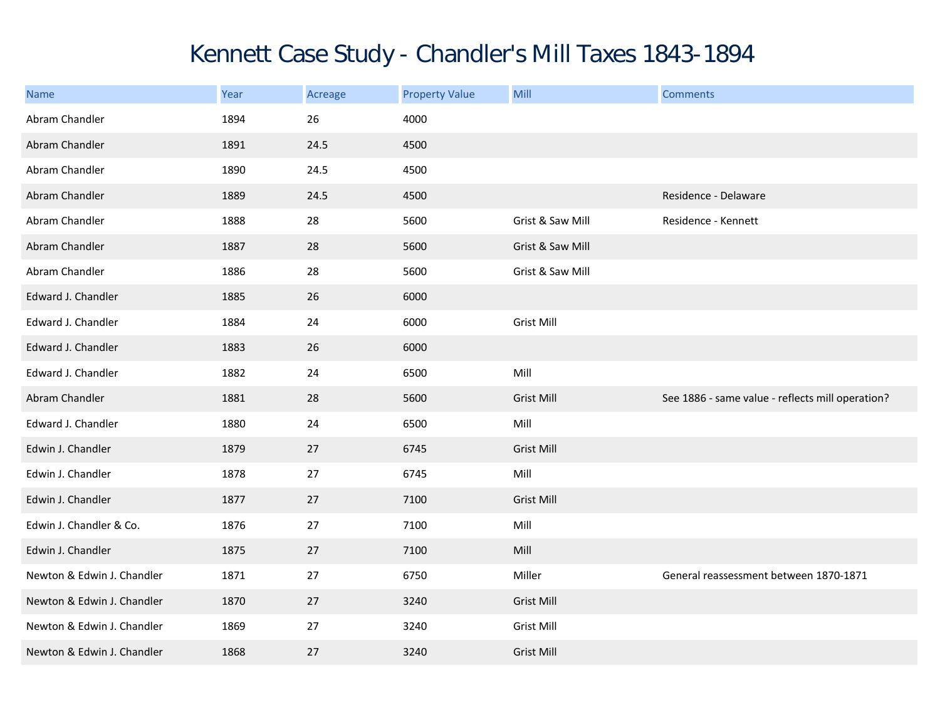## Kennett Case Study - Chandler's Mill Taxes 1843-1894

| <b>Name</b>                | Year | Acreage | <b>Property Value</b> | Mill              | <b>Comments</b>                                  |
|----------------------------|------|---------|-----------------------|-------------------|--------------------------------------------------|
| Abram Chandler             | 1894 | 26      | 4000                  |                   |                                                  |
| Abram Chandler             | 1891 | 24.5    | 4500                  |                   |                                                  |
| Abram Chandler             | 1890 | 24.5    | 4500                  |                   |                                                  |
| Abram Chandler             | 1889 | 24.5    | 4500                  |                   | Residence - Delaware                             |
| Abram Chandler             | 1888 | 28      | 5600                  | Grist & Saw Mill  | Residence - Kennett                              |
| Abram Chandler             | 1887 | 28      | 5600                  | Grist & Saw Mill  |                                                  |
| Abram Chandler             | 1886 | 28      | 5600                  | Grist & Saw Mill  |                                                  |
| Edward J. Chandler         | 1885 | 26      | 6000                  |                   |                                                  |
| Edward J. Chandler         | 1884 | 24      | 6000                  | <b>Grist Mill</b> |                                                  |
| Edward J. Chandler         | 1883 | 26      | 6000                  |                   |                                                  |
| Edward J. Chandler         | 1882 | 24      | 6500                  | Mill              |                                                  |
| Abram Chandler             | 1881 | 28      | 5600                  | <b>Grist Mill</b> | See 1886 - same value - reflects mill operation? |
| Edward J. Chandler         | 1880 | 24      | 6500                  | Mill              |                                                  |
| Edwin J. Chandler          | 1879 | 27      | 6745                  | <b>Grist Mill</b> |                                                  |
| Edwin J. Chandler          | 1878 | 27      | 6745                  | Mill              |                                                  |
| Edwin J. Chandler          | 1877 | 27      | 7100                  | <b>Grist Mill</b> |                                                  |
| Edwin J. Chandler & Co.    | 1876 | 27      | 7100                  | Mill              |                                                  |
| Edwin J. Chandler          | 1875 | 27      | 7100                  | Mill              |                                                  |
| Newton & Edwin J. Chandler | 1871 | 27      | 6750                  | Miller            | General reassessment between 1870-1871           |
| Newton & Edwin J. Chandler | 1870 | 27      | 3240                  | <b>Grist Mill</b> |                                                  |
| Newton & Edwin J. Chandler | 1869 | 27      | 3240                  | <b>Grist Mill</b> |                                                  |
| Newton & Edwin J. Chandler | 1868 | 27      | 3240                  | <b>Grist Mill</b> |                                                  |